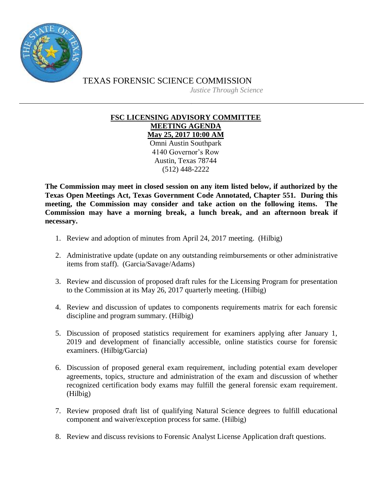

TEXAS FORENSIC SCIENCE COMMISSION

*Justice Through Science*

## **FSC LICENSING ADVISORY COMMITTEE MEETING AGENDA**

**May 25, 2017 10:00 AM** Omni Austin Southpark 4140 Governor's Row Austin, Texas 78744 (512) 448-2222

**The Commission may meet in closed session on any item listed below, if authorized by the Texas Open Meetings Act, Texas Government Code Annotated, Chapter 551. During this meeting, the Commission may consider and take action on the following items. The Commission may have a morning break, a lunch break, and an afternoon break if necessary.**

- 1. Review and adoption of minutes from April 24, 2017 meeting. (Hilbig)
- 2. Administrative update (update on any outstanding reimbursements or other administrative items from staff). (Garcia/Savage/Adams)
- 3. Review and discussion of proposed draft rules for the Licensing Program for presentation to the Commission at its May 26, 2017 quarterly meeting. (Hilbig)
- 4. Review and discussion of updates to components requirements matrix for each forensic discipline and program summary. (Hilbig)
- 5. Discussion of proposed statistics requirement for examiners applying after January 1, 2019 and development of financially accessible, online statistics course for forensic examiners. (Hilbig/Garcia)
- 6. Discussion of proposed general exam requirement, including potential exam developer agreements, topics, structure and administration of the exam and discussion of whether recognized certification body exams may fulfill the general forensic exam requirement. (Hilbig)
- 7. Review proposed draft list of qualifying Natural Science degrees to fulfill educational component and waiver/exception process for same. (Hilbig)
- 8. Review and discuss revisions to Forensic Analyst License Application draft questions.